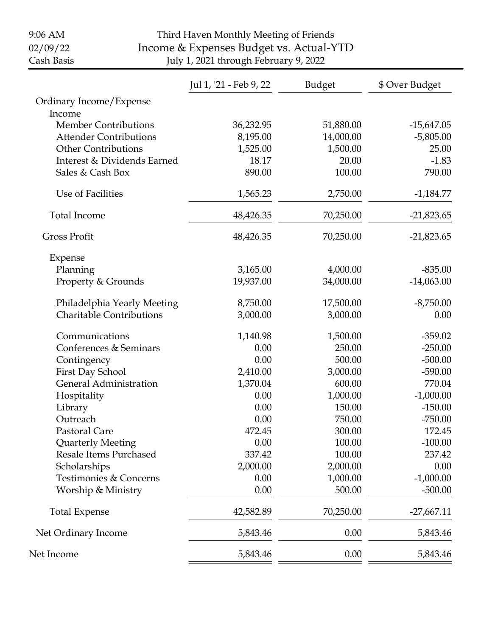| 9:06 AM                         |                                         | Third Haven Monthly Meeting of Friends |               |                |  |
|---------------------------------|-----------------------------------------|----------------------------------------|---------------|----------------|--|
| 02/09/22                        | Income & Expenses Budget vs. Actual-YTD |                                        |               |                |  |
| Cash Basis                      |                                         | July 1, 2021 through February 9, 2022  |               |                |  |
|                                 |                                         | Jul 1, '21 - Feb 9, 22                 | <b>Budget</b> | \$ Over Budget |  |
| Ordinary Income/Expense         |                                         |                                        |               |                |  |
| Income                          |                                         |                                        |               |                |  |
| <b>Member Contributions</b>     |                                         | 36,232.95                              | 51,880.00     | $-15,647.05$   |  |
| <b>Attender Contributions</b>   |                                         | 8,195.00                               | 14,000.00     | $-5,805.00$    |  |
| <b>Other Contributions</b>      |                                         | 1,525.00                               | 1,500.00      | 25.00          |  |
| Interest & Dividends Earned     |                                         | 18.17                                  | 20.00         | $-1.83$        |  |
| Sales & Cash Box                |                                         | 890.00                                 | 100.00        | 790.00         |  |
| Use of Facilities               |                                         | 1,565.23                               | 2,750.00      | $-1,184.77$    |  |
| <b>Total Income</b>             |                                         | 48,426.35                              | 70,250.00     | $-21,823.65$   |  |
| <b>Gross Profit</b>             |                                         | 48,426.35                              | 70,250.00     | $-21,823.65$   |  |
| Expense                         |                                         |                                        |               |                |  |
| Planning                        |                                         | 3,165.00                               | 4,000.00      | $-835.00$      |  |
| Property & Grounds              |                                         | 19,937.00                              | 34,000.00     | $-14,063.00$   |  |
|                                 | Philadelphia Yearly Meeting             | 8,750.00                               | 17,500.00     | $-8,750.00$    |  |
| <b>Charitable Contributions</b> |                                         | 3,000.00                               | 3,000.00      | 0.00           |  |
| Communications                  |                                         | 1,140.98                               | 1,500.00      | $-359.02$      |  |
| Conferences & Seminars          |                                         | 0.00                                   | 250.00        | $-250.00$      |  |
| Contingency                     |                                         | 0.00                                   | 500.00        | $-500.00$      |  |
| First Day School                |                                         | 2,410.00                               | 3,000.00      | $-590.00$      |  |
| <b>General Administration</b>   |                                         | 1,370.04                               | 600.00        | 770.04         |  |
| Hospitality                     |                                         | 0.00                                   | 1,000.00      | $-1,000.00$    |  |
| Library                         |                                         | 0.00                                   | 150.00        | $-150.00$      |  |
| Outreach                        |                                         | 0.00                                   | 750.00        | $-750.00$      |  |
| Pastoral Care                   |                                         | 472.45                                 | 300.00        | 172.45         |  |
| <b>Quarterly Meeting</b>        |                                         | 0.00                                   | 100.00        | $-100.00$      |  |
| Resale Items Purchased          |                                         | 337.42                                 | 100.00        | 237.42         |  |
| Scholarships                    |                                         | 2,000.00                               | 2,000.00      | 0.00           |  |
| Testimonies & Concerns          |                                         | 0.00                                   | 1,000.00      | $-1,000.00$    |  |
| Worship & Ministry              |                                         | 0.00                                   | 500.00        | $-500.00$      |  |
| <b>Total Expense</b>            |                                         | 42,582.89                              | 70,250.00     | $-27,667.11$   |  |
| Net Ordinary Income             |                                         | 5,843.46                               | 0.00          | 5,843.46       |  |
| Net Income                      |                                         | 5,843.46                               | 0.00          | 5,843.46       |  |